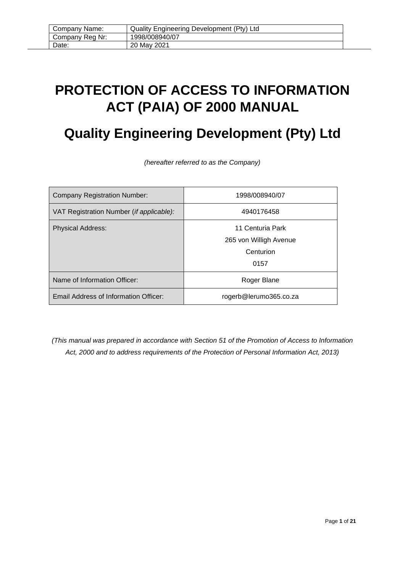# <span id="page-0-0"></span>**PROTECTION OF ACCESS TO INFORMATION ACT (PAIA) OF 2000 MANUAL**

# **Quality Engineering Development (Pty) Ltd**

*(hereafter referred to as the Company)*

| <b>Company Registration Number:</b>      | 1998/008940/07         |
|------------------------------------------|------------------------|
| VAT Registration Number (if applicable): | 4940176458             |
| <b>Physical Address:</b>                 | 11 Centuria Park       |
|                                          | 265 von Willigh Avenue |
|                                          | Centurion              |
|                                          | 0157                   |
| Name of Information Officer:             | Roger Blane            |
| Email Address of Information Officer:    | rogerb@lerumo365.co.za |

*(This manual was prepared in accordance with Section 51 of the Promotion of Access to Information Act, 2000 and to address requirements of the Protection of Personal Information Act, 2013)*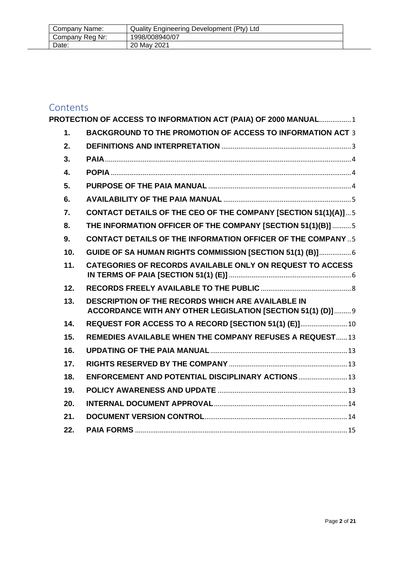| Company Name:   | Quality Engineering Development (Pty) Ltd |
|-----------------|-------------------------------------------|
| Company Reg Nr: | 1998/008940/07                            |
| Date:           | 20 May 2021                               |

# Contents<br>**PROTECTIC**

|     | PROTECTION OF ACCESS TO INFORMATION ACT (PAIA) OF 2000 MANUAL 1                                                  |  |
|-----|------------------------------------------------------------------------------------------------------------------|--|
| 1.  | <b>BACKGROUND TO THE PROMOTION OF ACCESS TO INFORMATION ACT 3</b>                                                |  |
| 2.  |                                                                                                                  |  |
| 3.  |                                                                                                                  |  |
| 4.  |                                                                                                                  |  |
| 5.  |                                                                                                                  |  |
| 6.  |                                                                                                                  |  |
| 7.  | <b>CONTACT DETAILS OF THE CEO OF THE COMPANY [SECTION 51(1)(A)] 5</b>                                            |  |
| 8.  | THE INFORMATION OFFICER OF THE COMPANY [SECTION 51(1)(B)]  5                                                     |  |
| 9.  | <b>CONTACT DETAILS OF THE INFORMATION OFFICER OF THE COMPANY  5</b>                                              |  |
| 10. | GUIDE OF SA HUMAN RIGHTS COMMISSION [SECTION 51(1) (B)] 6                                                        |  |
| 11. | <b>CATEGORIES OF RECORDS AVAILABLE ONLY ON REQUEST TO ACCESS</b>                                                 |  |
| 12. |                                                                                                                  |  |
| 13. | DESCRIPTION OF THE RECORDS WHICH ARE AVAILABLE IN<br>ACCORDANCE WITH ANY OTHER LEGISLATION [SECTION 51(1) (D)] 9 |  |
| 14. | REQUEST FOR ACCESS TO A RECORD [SECTION 51(1) (E)] 10                                                            |  |
| 15. | <b>REMEDIES AVAILABLE WHEN THE COMPANY REFUSES A REQUEST13</b>                                                   |  |
| 16. |                                                                                                                  |  |
| 17. |                                                                                                                  |  |
| 18. | ENFORCEMENT AND POTENTIAL DISCIPLINARY ACTIONS  13                                                               |  |
| 19. |                                                                                                                  |  |
| 20. |                                                                                                                  |  |
| 21. |                                                                                                                  |  |
| 22. |                                                                                                                  |  |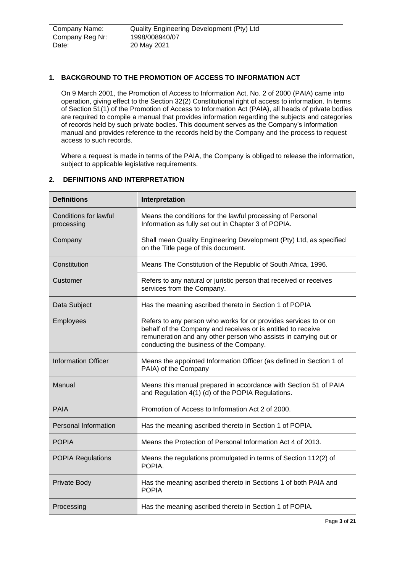| Company Name:   | Quality Engineering Development (Pty) Ltd |  |
|-----------------|-------------------------------------------|--|
| Company Reg Nr: | 1998/008940/07                            |  |
| Date:           | 20 May 2021                               |  |

# <span id="page-2-0"></span>**1. BACKGROUND TO THE PROMOTION OF ACCESS TO INFORMATION ACT**

On 9 March 2001, the Promotion of Access to Information Act, No. 2 of 2000 (PAIA) came into operation, giving effect to the Section 32(2) Constitutional right of access to information. In terms of Section 51(1) of the Promotion of Access to Information Act (PAIA), all heads of private bodies are required to compile a manual that provides information regarding the subjects and categories of records held by such private bodies. This document serves as the Company's information manual and provides reference to the records held by the Company and the process to request access to such records.

Where a request is made in terms of the PAIA, the Company is obliged to release the information, subject to applicable legislative requirements.

#### <span id="page-2-1"></span>**2. DEFINITIONS AND INTERPRETATION**

| <b>Definitions</b>                         | Interpretation                                                                                                                                                                                                                                  |
|--------------------------------------------|-------------------------------------------------------------------------------------------------------------------------------------------------------------------------------------------------------------------------------------------------|
| <b>Conditions for lawful</b><br>processing | Means the conditions for the lawful processing of Personal<br>Information as fully set out in Chapter 3 of POPIA.                                                                                                                               |
| Company                                    | Shall mean Quality Engineering Development (Pty) Ltd, as specified<br>on the Title page of this document.                                                                                                                                       |
| Constitution                               | Means The Constitution of the Republic of South Africa, 1996.                                                                                                                                                                                   |
| Customer                                   | Refers to any natural or juristic person that received or receives<br>services from the Company.                                                                                                                                                |
| Data Subject                               | Has the meaning ascribed thereto in Section 1 of POPIA                                                                                                                                                                                          |
| Employees                                  | Refers to any person who works for or provides services to or on<br>behalf of the Company and receives or is entitled to receive<br>remuneration and any other person who assists in carrying out or<br>conducting the business of the Company. |
| <b>Information Officer</b>                 | Means the appointed Information Officer (as defined in Section 1 of<br>PAIA) of the Company                                                                                                                                                     |
| Manual                                     | Means this manual prepared in accordance with Section 51 of PAIA<br>and Regulation 4(1) (d) of the POPIA Regulations.                                                                                                                           |
| <b>PAIA</b>                                | Promotion of Access to Information Act 2 of 2000.                                                                                                                                                                                               |
| <b>Personal Information</b>                | Has the meaning ascribed thereto in Section 1 of POPIA.                                                                                                                                                                                         |
| <b>POPIA</b>                               | Means the Protection of Personal Information Act 4 of 2013.                                                                                                                                                                                     |
| <b>POPIA Regulations</b>                   | Means the regulations promulgated in terms of Section 112(2) of<br>POPIA.                                                                                                                                                                       |
| Private Body                               | Has the meaning ascribed thereto in Sections 1 of both PAIA and<br><b>POPIA</b>                                                                                                                                                                 |
| Processing                                 | Has the meaning ascribed thereto in Section 1 of POPIA.                                                                                                                                                                                         |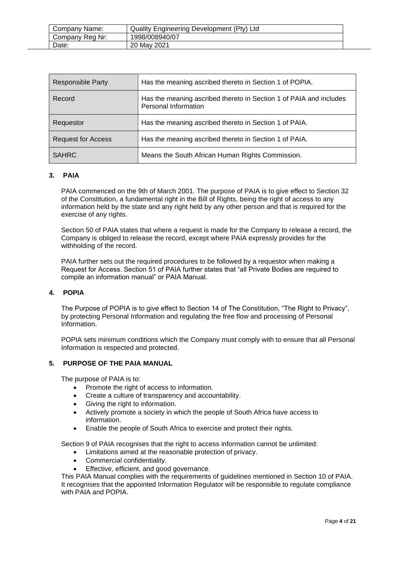| Company Name:   | Quality Engineering Development (Pty) Ltd |
|-----------------|-------------------------------------------|
| Company Reg Nr: | 1998/008940/07                            |
| Date:           | 20 May 2021                               |

| <b>Responsible Party</b>  | Has the meaning ascribed thereto in Section 1 of POPIA.                                    |
|---------------------------|--------------------------------------------------------------------------------------------|
| Record                    | Has the meaning ascribed thereto in Section 1 of PAIA and includes<br>Personal Information |
| Requestor                 | Has the meaning ascribed thereto in Section 1 of PAIA.                                     |
| <b>Request for Access</b> | Has the meaning ascribed thereto in Section 1 of PAIA.                                     |
| <b>SAHRC</b>              | Means the South African Human Rights Commission.                                           |

## <span id="page-3-0"></span>**3. PAIA**

PAIA commenced on the 9th of March 2001. The purpose of PAIA is to give effect to Section 32 of the Constitution, a fundamental right in the Bill of Rights, being the right of access to any information held by the state and any right held by any other person and that is required for the exercise of any rights.

Section 50 of PAIA states that where a request is made for the Company to release a record, the Company is obliged to release the record, except where PAIA expressly provides for the withholding of the record.

PAIA further sets out the required procedures to be followed by a requestor when making a Request for Access. Section 51 of PAIA further states that "all Private Bodies are required to compile an information manual" or PAIA Manual.

### <span id="page-3-1"></span>**4. POPIA**

The Purpose of POPIA is to give effect to Section 14 of The Constitution, "The Right to Privacy", by protecting Personal Information and regulating the free flow and processing of Personal Information.

POPIA sets minimum conditions which the Company must comply with to ensure that all Personal Information is respected and protected.

#### <span id="page-3-2"></span>**5. PURPOSE OF THE PAIA MANUAL**

The purpose of PAIA is to:

- Promote the right of access to information.
- Create a culture of transparency and accountability.
- Giving the right to information.
- Actively promote a society in which the people of South Africa have access to information.
- Enable the people of South Africa to exercise and protect their rights.

Section 9 of PAIA recognises that the right to access information cannot be unlimited:

- Limitations aimed at the reasonable protection of privacy.
- Commercial confidentiality.
- Effective, efficient, and good governance.

This PAIA Manual complies with the requirements of guidelines mentioned in Section 10 of PAIA. It recognises that the appointed Information Regulator will be responsible to regulate compliance with PAIA and POPIA.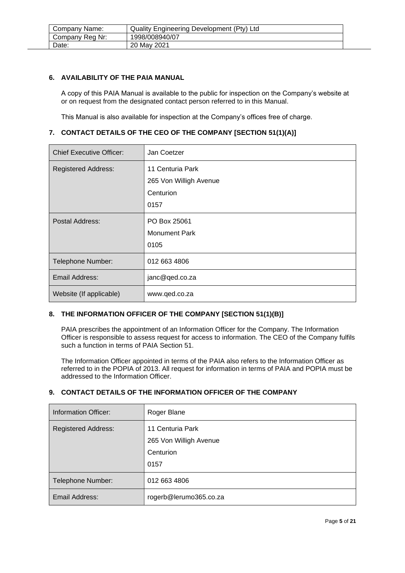| Company Name:   | Quality Engineering Development (Pty) Ltd |  |
|-----------------|-------------------------------------------|--|
| Company Reg Nr: | 1998/008940/07                            |  |
| Date:           | 20 May 2021                               |  |

#### <span id="page-4-0"></span>**6. AVAILABILITY OF THE PAIA MANUAL**

A copy of this PAIA Manual is available to the public for inspection on the Company's website at or on request from the designated contact person referred to in this Manual.

This Manual is also available for inspection at the Company's offices free of charge.

### <span id="page-4-1"></span>**7. CONTACT DETAILS OF THE CEO OF THE COMPANY [SECTION 51(1)(A)]**

| <b>Chief Executive Officer:</b> | Jan Coetzer            |
|---------------------------------|------------------------|
| <b>Registered Address:</b>      | 11 Centuria Park       |
|                                 | 265 Von Willigh Avenue |
|                                 | Centurion              |
|                                 | 0157                   |
| Postal Address:                 | PO Box 25061           |
|                                 | <b>Monument Park</b>   |
|                                 | 0105                   |
| Telephone Number:               | 012 663 4806           |
| Email Address:                  | janc@qed.co.za         |
| Website (If applicable)         | www.qed.co.za          |

# <span id="page-4-2"></span>**8. THE INFORMATION OFFICER OF THE COMPANY [SECTION 51(1)(B)]**

PAIA prescribes the appointment of an Information Officer for the Company. The Information Officer is responsible to assess request for access to information. The CEO of the Company fulfils such a function in terms of PAIA Section 51.

The Information Officer appointed in terms of the PAIA also refers to the Information Officer as referred to in the POPIA of 2013. All request for information in terms of PAIA and POPIA must be addressed to the Information Officer.

### <span id="page-4-3"></span>**9. CONTACT DETAILS OF THE INFORMATION OFFICER OF THE COMPANY**

| Information Officer:       | Roger Blane                                                     |
|----------------------------|-----------------------------------------------------------------|
| <b>Registered Address:</b> | 11 Centuria Park<br>265 Von Willigh Avenue<br>Centurion<br>0157 |
| Telephone Number:          | 012 663 4806                                                    |
| Email Address:             | rogerb@lerumo365.co.za                                          |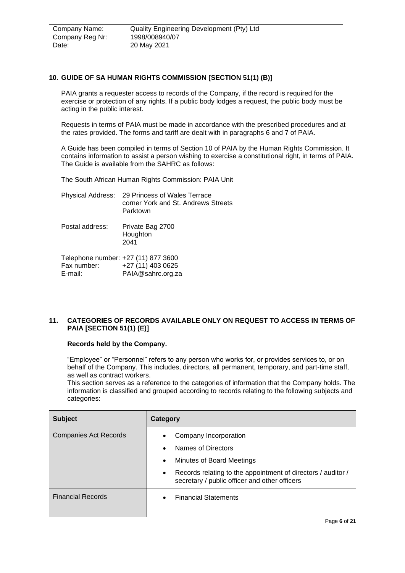| Company Name:   | Quality Engineering Development (Pty) Ltd |  |
|-----------------|-------------------------------------------|--|
| Company Reg Nr: | 1998/008940/07                            |  |
| Date:           | 20 May 2021                               |  |

# <span id="page-5-0"></span>**10. GUIDE OF SA HUMAN RIGHTS COMMISSION [SECTION 51(1) (B)]**

PAIA grants a requester access to records of the Company, if the record is required for the exercise or protection of any rights. If a public body lodges a request, the public body must be acting in the public interest.

Requests in terms of PAIA must be made in accordance with the prescribed procedures and at the rates provided. The forms and tariff are dealt with in paragraphs 6 and 7 of PAIA.

A Guide has been compiled in terms of Section 10 of PAIA by the Human Rights Commission. It contains information to assist a person wishing to exercise a constitutional right, in terms of PAIA. The Guide is available from the SAHRC as follows:

The South African Human Rights Commission: PAIA Unit

| Physical Address: 29 Princess of Wales Terrace |
|------------------------------------------------|
| corner York and St. Andrews Streets            |
| Parktown                                       |

Postal address: Private Bag 2700 Houghton 2041

| Telephone number: +27 (11) 877 3600 |                   |
|-------------------------------------|-------------------|
| Fax number:                         | +27 (11) 403 0625 |
| E-mail:                             | PAIA@sahrc.org.za |

### <span id="page-5-1"></span>**11. CATEGORIES OF RECORDS AVAILABLE ONLY ON REQUEST TO ACCESS IN TERMS OF PAIA [SECTION 51(1) (E)]**

#### **Records held by the Company.**

"Employee" or "Personnel" refers to any person who works for, or provides services to, or on behalf of the Company. This includes, directors, all permanent, temporary, and part-time staff, as well as contract workers.

This section serves as a reference to the categories of information that the Company holds. The information is classified and grouped according to records relating to the following subjects and categories:

| <b>Subject</b>               | Category                                                                                                                                                                                                                         |
|------------------------------|----------------------------------------------------------------------------------------------------------------------------------------------------------------------------------------------------------------------------------|
| <b>Companies Act Records</b> | Company Incorporation<br>Names of Directors<br>$\bullet$<br>Minutes of Board Meetings<br>$\bullet$<br>Records relating to the appointment of directors / auditor /<br>$\bullet$<br>secretary / public officer and other officers |
| <b>Financial Records</b>     | <b>Financial Statements</b>                                                                                                                                                                                                      |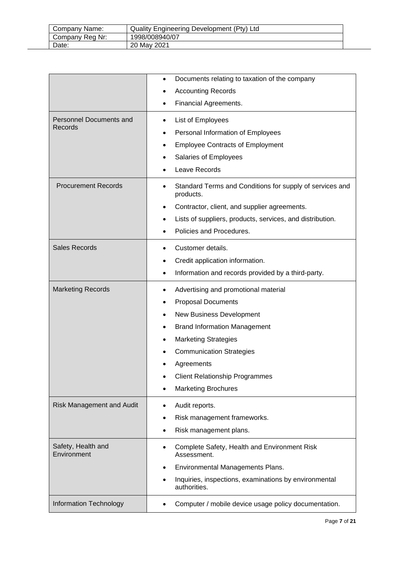| Company Name:   | Quality Engineering Development (Pty) Ltd |
|-----------------|-------------------------------------------|
| Company Reg Nr: | 1998/008940/07                            |
| Date:           | 20 May 2021                               |

|                                    | Documents relating to taxation of the company<br>٠                                                                                                                                                                                                                                                                           |
|------------------------------------|------------------------------------------------------------------------------------------------------------------------------------------------------------------------------------------------------------------------------------------------------------------------------------------------------------------------------|
|                                    | <b>Accounting Records</b>                                                                                                                                                                                                                                                                                                    |
|                                    | Financial Agreements.                                                                                                                                                                                                                                                                                                        |
| Personnel Documents and<br>Records | List of Employees<br>٠<br>Personal Information of Employees<br>٠<br><b>Employee Contracts of Employment</b><br>٠<br>Salaries of Employees<br>Leave Records                                                                                                                                                                   |
| <b>Procurement Records</b>         | Standard Terms and Conditions for supply of services and<br>products.<br>Contractor, client, and supplier agreements.<br>$\bullet$<br>Lists of suppliers, products, services, and distribution.<br>Policies and Procedures.                                                                                                  |
| <b>Sales Records</b>               | Customer details.<br>٠<br>Credit application information.<br>٠<br>Information and records provided by a third-party.<br>$\bullet$                                                                                                                                                                                            |
| <b>Marketing Records</b>           | Advertising and promotional material<br>٠<br><b>Proposal Documents</b><br>$\bullet$<br>New Business Development<br>٠<br><b>Brand Information Management</b><br>٠<br><b>Marketing Strategies</b><br>٠<br><b>Communication Strategies</b><br>Agreements<br><b>Client Relationship Programmes</b><br><b>Marketing Brochures</b> |
| <b>Risk Management and Audit</b>   | Audit reports.<br>Risk management frameworks.<br>Risk management plans.                                                                                                                                                                                                                                                      |
| Safety, Health and<br>Environment  | Complete Safety, Health and Environment Risk<br>٠<br>Assessment.<br>Environmental Managements Plans.<br>٠<br>Inquiries, inspections, examinations by environmental<br>authorities.                                                                                                                                           |
| Information Technology             | Computer / mobile device usage policy documentation.                                                                                                                                                                                                                                                                         |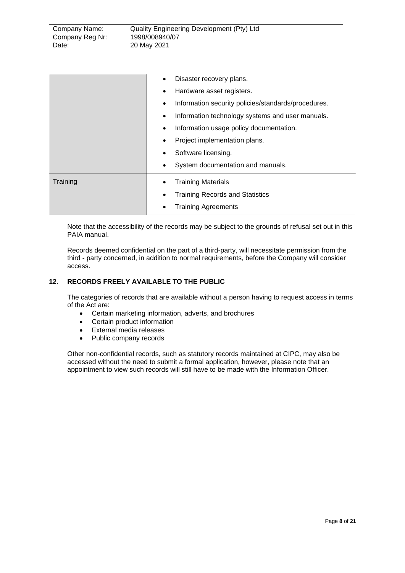| Company Name:   | Quality Engineering Development (Pty) Ltd |
|-----------------|-------------------------------------------|
| Company Reg Nr: | 1998/008940/07                            |
| Date:           | 20 May 2021                               |

|          | Disaster recovery plans.                                 |
|----------|----------------------------------------------------------|
|          | Hardware asset registers.                                |
|          | Information security policies/standards/procedures.<br>٠ |
|          | Information technology systems and user manuals.<br>٠    |
|          | Information usage policy documentation.                  |
|          | Project implementation plans.                            |
|          | Software licensing.                                      |
|          | System documentation and manuals.                        |
| Training | <b>Training Materials</b>                                |
|          | <b>Training Records and Statistics</b>                   |
|          | <b>Training Agreements</b>                               |

Note that the accessibility of the records may be subject to the grounds of refusal set out in this PAIA manual.

Records deemed confidential on the part of a third-party, will necessitate permission from the third - party concerned, in addition to normal requirements, before the Company will consider access.

# <span id="page-7-0"></span>**12. RECORDS FREELY AVAILABLE TO THE PUBLIC**

The categories of records that are available without a person having to request access in terms of the Act are:

- Certain marketing information, adverts, and brochures
- Certain product information
- External media releases
- Public company records

Other non-confidential records, such as statutory records maintained at CIPC, may also be accessed without the need to submit a formal application, however, please note that an appointment to view such records will still have to be made with the Information Officer.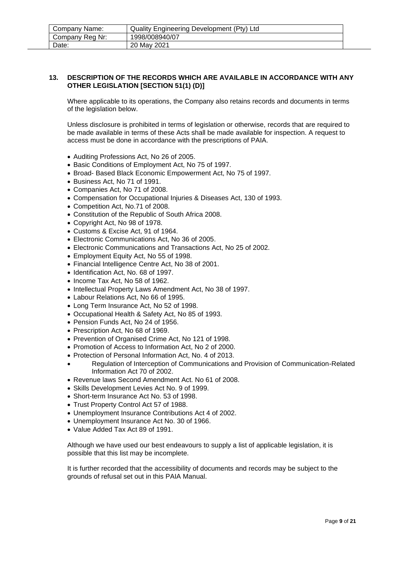| Company Name:   | Quality Engineering Development (Pty) Ltd |  |
|-----------------|-------------------------------------------|--|
| Company Reg Nr: | 1998/008940/07                            |  |
| Date:           | 20 May 2021                               |  |

#### <span id="page-8-0"></span>**13. DESCRIPTION OF THE RECORDS WHICH ARE AVAILABLE IN ACCORDANCE WITH ANY OTHER LEGISLATION [SECTION 51(1) (D)]**

Where applicable to its operations, the Company also retains records and documents in terms of the legislation below.

Unless disclosure is prohibited in terms of legislation or otherwise, records that are required to be made available in terms of these Acts shall be made available for inspection. A request to access must be done in accordance with the prescriptions of PAIA.

- Auditing Professions Act, No 26 of 2005.
- Basic Conditions of Employment Act, No 75 of 1997.
- Broad- Based Black Economic Empowerment Act, No 75 of 1997.
- Business Act, No 71 of 1991.
- Companies Act, No 71 of 2008.
- Compensation for Occupational Injuries & Diseases Act, 130 of 1993.
- Competition Act, No.71 of 2008.
- Constitution of the Republic of South Africa 2008.
- Copyright Act, No 98 of 1978.
- Customs & Excise Act, 91 of 1964.
- Electronic Communications Act, No 36 of 2005.
- Electronic Communications and Transactions Act, No 25 of 2002.
- Employment Equity Act, No 55 of 1998.
- Financial Intelligence Centre Act, No 38 of 2001.
- Identification Act, No. 68 of 1997.
- Income Tax Act, No 58 of 1962.
- Intellectual Property Laws Amendment Act, No 38 of 1997.
- Labour Relations Act, No 66 of 1995.
- Long Term Insurance Act, No 52 of 1998.
- Occupational Health & Safety Act, No 85 of 1993.
- Pension Funds Act, No 24 of 1956.
- Prescription Act, No 68 of 1969.
- Prevention of Organised Crime Act, No 121 of 1998.
- Promotion of Access to Information Act, No 2 of 2000.
- Protection of Personal Information Act, No. 4 of 2013.
- Regulation of Interception of Communications and Provision of Communication-Related Information Act 70 of 2002.
- Revenue laws Second Amendment Act. No 61 of 2008.
- Skills Development Levies Act No. 9 of 1999.
- Short-term Insurance Act No. 53 of 1998.
- Trust Property Control Act 57 of 1988.
- Unemployment Insurance Contributions Act 4 of 2002.
- Unemployment Insurance Act No. 30 of 1966.
- Value Added Tax Act 89 of 1991.

Although we have used our best endeavours to supply a list of applicable legislation, it is possible that this list may be incomplete.

It is further recorded that the accessibility of documents and records may be subject to the grounds of refusal set out in this PAIA Manual.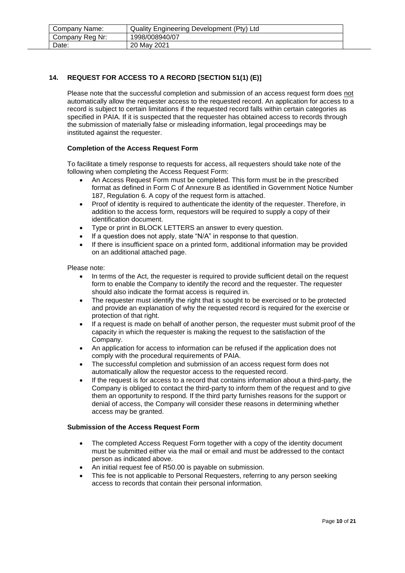| Company Name:   | Quality Engineering Development (Pty) Ltd |  |
|-----------------|-------------------------------------------|--|
| Company Reg Nr: | 1998/008940/07                            |  |
| Date:           | 20 May 2021                               |  |

# <span id="page-9-0"></span>**14. REQUEST FOR ACCESS TO A RECORD [SECTION 51(1) (E)]**

Please note that the successful completion and submission of an access request form does not automatically allow the requester access to the requested record. An application for access to a record is subject to certain limitations if the requested record falls within certain categories as specified in PAIA. If it is suspected that the requester has obtained access to records through the submission of materially false or misleading information, legal proceedings may be instituted against the requester.

#### **Completion of the Access Request Form**

To facilitate a timely response to requests for access, all requesters should take note of the following when completing the Access Request Form:

- An Access Request Form must be completed. This form must be in the prescribed format as defined in Form C of Annexure B as identified in Government Notice Number 187, Regulation 6. A copy of the request form is attached.
- Proof of identity is required to authenticate the identity of the requester. Therefore, in addition to the access form, requestors will be required to supply a copy of their identification document.
- Type or print in BLOCK LETTERS an answer to every question.
- If a question does not apply, state "N/A" in response to that question.
- If there is insufficient space on a printed form, additional information may be provided on an additional attached page.

Please note:

- In terms of the Act, the requester is required to provide sufficient detail on the request form to enable the Company to identify the record and the requester. The requester should also indicate the format access is required in.
- The requester must identify the right that is sought to be exercised or to be protected and provide an explanation of why the requested record is required for the exercise or protection of that right.
- If a request is made on behalf of another person, the requester must submit proof of the capacity in which the requester is making the request to the satisfaction of the Company.
- An application for access to information can be refused if the application does not comply with the procedural requirements of PAIA.
- The successful completion and submission of an access request form does not automatically allow the requestor access to the requested record.
- If the request is for access to a record that contains information about a third-party, the Company is obliged to contact the third-party to inform them of the request and to give them an opportunity to respond. If the third party furnishes reasons for the support or denial of access, the Company will consider these reasons in determining whether access may be granted.

#### **Submission of the Access Request Form**

- The completed Access Request Form together with a copy of the identity document must be submitted either via the mail or email and must be addressed to the contact person as indicated above.
- An initial request fee of R50.00 is payable on submission.
- This fee is not applicable to Personal Requesters, referring to any person seeking access to records that contain their personal information.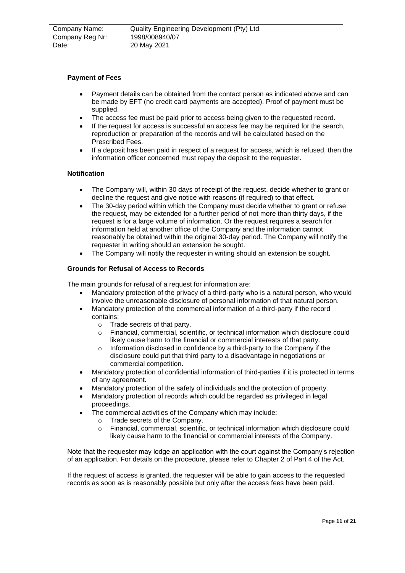| Company Name:   | Quality Engineering Development (Pty) Ltd |
|-----------------|-------------------------------------------|
| Company Reg Nr: | 1998/008940/07                            |
| Date:           | 20 May 2021                               |

#### **Payment of Fees**

- Payment details can be obtained from the contact person as indicated above and can be made by EFT (no credit card payments are accepted). Proof of payment must be supplied.
- The access fee must be paid prior to access being given to the requested record.
- If the request for access is successful an access fee may be required for the search. reproduction or preparation of the records and will be calculated based on the Prescribed Fees.
- If a deposit has been paid in respect of a request for access, which is refused, then the information officer concerned must repay the deposit to the requester.

#### **Notification**

- The Company will, within 30 days of receipt of the request, decide whether to grant or decline the request and give notice with reasons (if required) to that effect.
- The 30-day period within which the Company must decide whether to grant or refuse the request, may be extended for a further period of not more than thirty days, if the request is for a large volume of information. Or the request requires a search for information held at another office of the Company and the information cannot reasonably be obtained within the original 30-day period. The Company will notify the requester in writing should an extension be sought.
- The Company will notify the requester in writing should an extension be sought.

#### **Grounds for Refusal of Access to Records**

The main grounds for refusal of a request for information are:

- Mandatory protection of the privacy of a third-party who is a natural person, who would involve the unreasonable disclosure of personal information of that natural person.
- Mandatory protection of the commercial information of a third-party if the record contains:
	- o Trade secrets of that party.
	- o Financial, commercial, scientific, or technical information which disclosure could likely cause harm to the financial or commercial interests of that party.
	- o Information disclosed in confidence by a third-party to the Company if the disclosure could put that third party to a disadvantage in negotiations or commercial competition.
- Mandatory protection of confidential information of third-parties if it is protected in terms of any agreement.
- Mandatory protection of the safety of individuals and the protection of property.
- Mandatory protection of records which could be regarded as privileged in legal proceedings.
- The commercial activities of the Company which may include:
	- o Trade secrets of the Company.
	- o Financial, commercial, scientific, or technical information which disclosure could likely cause harm to the financial or commercial interests of the Company.

Note that the requester may lodge an application with the court against the Company's rejection of an application. For details on the procedure, please refer to Chapter 2 of Part 4 of the Act.

If the request of access is granted, the requester will be able to gain access to the requested records as soon as is reasonably possible but only after the access fees have been paid.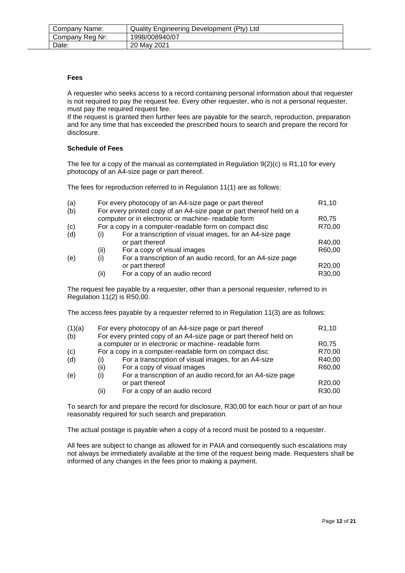#### **Fees**

A requester who seeks access to a record containing personal information about that requester is not required to pay the request fee. Every other requester, who is not a personal requester, must pay the required request fee.

If the request is granted then further fees are payable for the search, reproduction, preparation and for any time that has exceeded the prescribed hours to search and prepare the record for disclosure.

#### **Schedule of Fees**

The fee for a copy of the manual as contemplated in Regulation 9(2)(c) is R1,10 for every photocopy of an A4-size page or part thereof.

The fees for reproduction referred to in Regulation 11(1) are as follows:

|              |                                                             | R <sub>1</sub> ,10                                                                                                                                                                                                                             |
|--------------|-------------------------------------------------------------|------------------------------------------------------------------------------------------------------------------------------------------------------------------------------------------------------------------------------------------------|
|              |                                                             |                                                                                                                                                                                                                                                |
|              |                                                             | R <sub>0.75</sub>                                                                                                                                                                                                                              |
|              |                                                             | R70,00                                                                                                                                                                                                                                         |
| $\mathbf{I}$ | For a transcription of visual images, for an A4-size page   |                                                                                                                                                                                                                                                |
|              | or part thereof                                             | R40,00                                                                                                                                                                                                                                         |
| (ii)         | For a copy of visual images                                 | R60,00                                                                                                                                                                                                                                         |
| (i)          | For a transcription of an audio record, for an A4-size page |                                                                                                                                                                                                                                                |
|              | or part thereof                                             | R20,00                                                                                                                                                                                                                                         |
| (ii)         | For a copy of an audio record                               | R30,00                                                                                                                                                                                                                                         |
|              |                                                             | For every photocopy of an A4-size page or part thereof<br>For every printed copy of an A4-size page or part thereof held on a<br>computer or in electronic or machine- readable form<br>For a copy in a computer-readable form on compact disc |

The request fee payable by a requester, other than a personal requester, referred to in Regulation 11(2) is R50,00.

The access fees payable by a requester referred to in Regulation 11(3) are as follows:

| (1)(a) |      | For every photocopy of an A4-size page or part thereof            | R <sub>1</sub> ,10  |
|--------|------|-------------------------------------------------------------------|---------------------|
| (b)    |      | For every printed copy of an A4-size page or part thereof held on |                     |
|        |      | a computer or in electronic or machine- readable form             | R <sub>0</sub> ,75  |
| (c)    |      | For a copy in a computer-readable form on compact disc            | R70,00              |
| (d)    | (i)  | For a transcription of visual images, for an A4-size              | R40,00              |
|        | (ii) | For a copy of visual images                                       | R60,00              |
| (e)    | (i)  | For a transcription of an audio record, for an A4-size page       |                     |
|        |      | or part thereof                                                   | R <sub>20</sub> ,00 |
|        | (ii) | For a copy of an audio record                                     | R30,00              |

To search for and prepare the record for disclosure, R30,00 for each hour or part of an hour reasonably required for such search and preparation.

The actual postage is payable when a copy of a record must be posted to a requester.

All fees are subject to change as allowed for in PAIA and consequently such escalations may not always be immediately available at the time of the request being made. Requesters shall be informed of any changes in the fees prior to making a payment.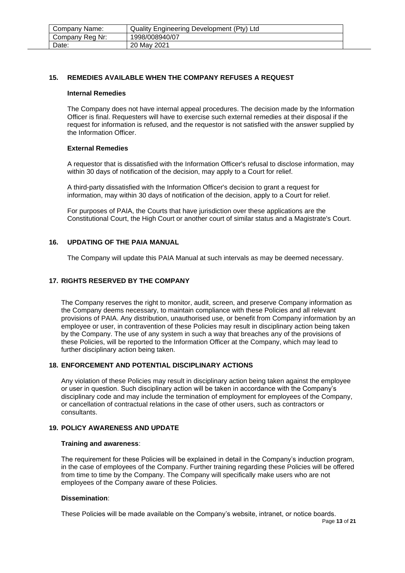| Company Name:   | Quality Engineering Development (Pty) Ltd |  |
|-----------------|-------------------------------------------|--|
| Company Reg Nr: | 1998/008940/07                            |  |
| Date:           | 20 May 2021                               |  |

#### <span id="page-12-0"></span>**15. REMEDIES AVAILABLE WHEN THE COMPANY REFUSES A REQUEST**

#### **Internal Remedies**

The Company does not have internal appeal procedures. The decision made by the Information Officer is final. Requesters will have to exercise such external remedies at their disposal if the request for information is refused, and the requestor is not satisfied with the answer supplied by the Information Officer.

#### **External Remedies**

A requestor that is dissatisfied with the Information Officer's refusal to disclose information, may within 30 days of notification of the decision, may apply to a Court for relief.

A third-party dissatisfied with the Information Officer's decision to grant a request for information, may within 30 days of notification of the decision, apply to a Court for relief.

For purposes of PAIA, the Courts that have jurisdiction over these applications are the Constitutional Court, the High Court or another court of similar status and a Magistrate's Court.

#### <span id="page-12-1"></span>**16. UPDATING OF THE PAIA MANUAL**

The Company will update this PAIA Manual at such intervals as may be deemed necessary.

#### <span id="page-12-2"></span>**17. RIGHTS RESERVED BY THE COMPANY**

The Company reserves the right to monitor, audit, screen, and preserve Company information as the Company deems necessary, to maintain compliance with these Policies and all relevant provisions of PAIA. Any distribution, unauthorised use, or benefit from Company information by an employee or user, in contravention of these Policies may result in disciplinary action being taken by the Company. The use of any system in such a way that breaches any of the provisions of these Policies, will be reported to the Information Officer at the Company, which may lead to further disciplinary action being taken.

#### <span id="page-12-3"></span>**18. ENFORCEMENT AND POTENTIAL DISCIPLINARY ACTIONS**

Any violation of these Policies may result in disciplinary action being taken against the employee or user in question. Such disciplinary action will be taken in accordance with the Company's disciplinary code and may include the termination of employment for employees of the Company, or cancellation of contractual relations in the case of other users, such as contractors or consultants.

# <span id="page-12-4"></span>**19. POLICY AWARENESS AND UPDATE**

#### **Training and awareness**:

The requirement for these Policies will be explained in detail in the Company's induction program, in the case of employees of the Company. Further training regarding these Policies will be offered from time to time by the Company. The Company will specifically make users who are not employees of the Company aware of these Policies.

#### **Dissemination**:

These Policies will be made available on the Company's website, intranet, or notice boards.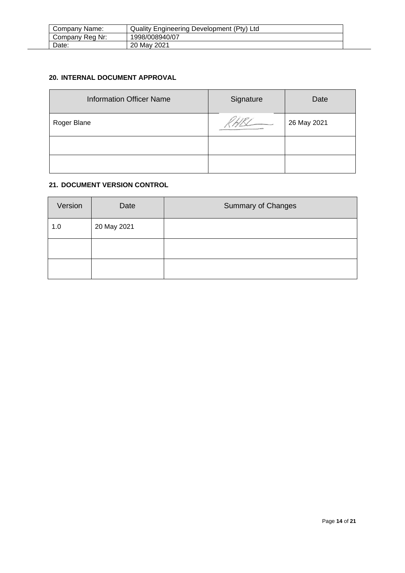| Company Name:   | Quality Engineering Development (Pty) Ltd |
|-----------------|-------------------------------------------|
| Company Reg Nr: | 1998/008940/07                            |
| Date:           | 20 May 2021                               |

# <span id="page-13-0"></span>**20. INTERNAL DOCUMENT APPROVAL**

| <b>Information Officer Name</b> | Signature | Date        |
|---------------------------------|-----------|-------------|
| Roger Blane                     |           | 26 May 2021 |
|                                 |           |             |
|                                 |           |             |

# <span id="page-13-1"></span>**21. DOCUMENT VERSION CONTROL**

| Version | Date        | <b>Summary of Changes</b> |
|---------|-------------|---------------------------|
| 1.0     | 20 May 2021 |                           |
|         |             |                           |
|         |             |                           |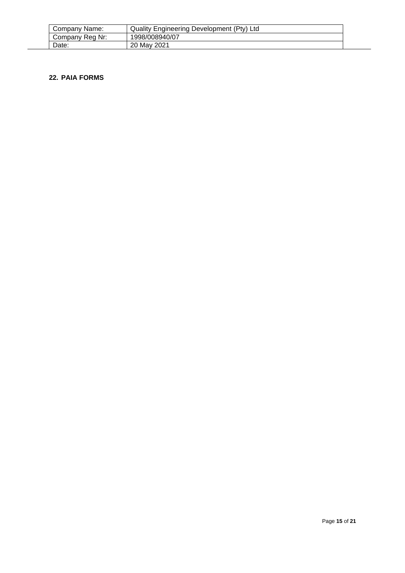| Company Name:   | Quality Engineering Development (Pty) Ltd |
|-----------------|-------------------------------------------|
| Company Reg Nr: | 1998/008940/07                            |
| Date:           | 20 May 2021                               |

#### <span id="page-14-0"></span>**22. PAIA FORMS**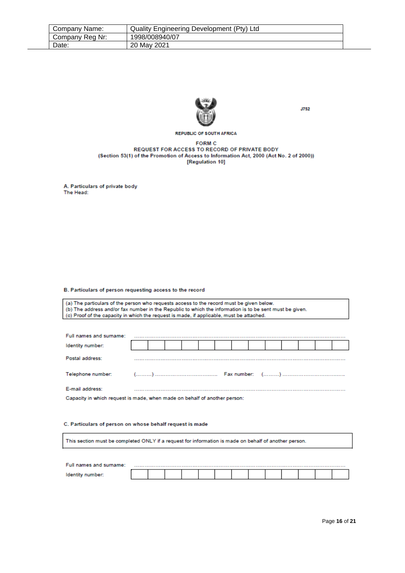| Company Name:   | Quality Engineering Development (Pty) Ltd |
|-----------------|-------------------------------------------|
| Company Reg Nr: | 1998/008940/07                            |
| Date:           | 20 May 2021                               |



**J752** 

**REPUBLIC OF SOUTH AFRICA** 

#### **FORM C** REQUEST FOR ACCESS TO RECORD OF PRIVATE BODY (Section 53(1) of the Promotion of Access to Information Act, 2000 (Act No. 2 of 2000)) [Regulation 10]

A. Particulars of private body The Head:

#### B. Particulars of person requesting access to the record

(a) The particulars of the person who requests access to the record must be given below. (b) The address and/or fax number in the Republic to which the information is to be sent must be given. (c) Proof of the capacity in which the request is made, if applicable, must be attached.

| Full names and surname:                                                   |  |  |  |  |  |  |  |  |  |  |  |
|---------------------------------------------------------------------------|--|--|--|--|--|--|--|--|--|--|--|
| Identity number:                                                          |  |  |  |  |  |  |  |  |  |  |  |
| Postal address:                                                           |  |  |  |  |  |  |  |  |  |  |  |
| Telephone number:                                                         |  |  |  |  |  |  |  |  |  |  |  |
| E-mail address:                                                           |  |  |  |  |  |  |  |  |  |  |  |
| Capacity in which request is made, when made on behalf of another person: |  |  |  |  |  |  |  |  |  |  |  |

#### C. Particulars of person on whose behalf request is made

This section must be completed ONLY if a request for information is made on behalf of another person.

| Full names and surname: |  |  |  |  |  |  |  |
|-------------------------|--|--|--|--|--|--|--|
|                         |  |  |  |  |  |  |  |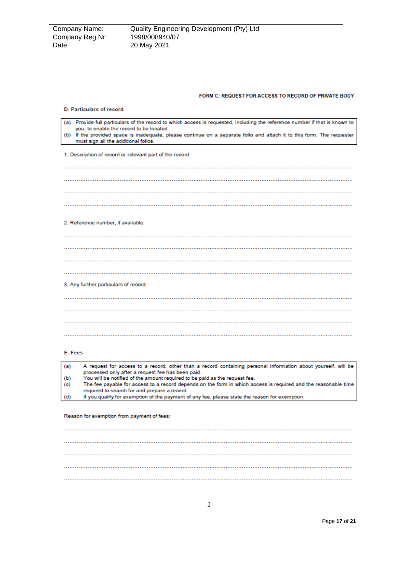| Company Name:   | Quality Engineering Development (Pty) Ltd |  |
|-----------------|-------------------------------------------|--|
| Company Reg Nr: | 1998/008940/07                            |  |
| Date:           | 20 May 2021                               |  |

#### FORM C: REQUEST FOR ACCESS TO RECORD OF PRIVATE BODY

| <b>D. Particulars of record</b>                                                                                                                                                                                                                                                                                                           |
|-------------------------------------------------------------------------------------------------------------------------------------------------------------------------------------------------------------------------------------------------------------------------------------------------------------------------------------------|
| (a) Provide full particulars of the record to which access is requested, including the reference number if that is known to<br>you, to enable the record to be located.<br>(b) If the provided space is inadequate, please continue on a separate folio and attach it to this form. The requester<br>must sign all the additional folios. |
|                                                                                                                                                                                                                                                                                                                                           |
| 1. Description of record or relevant part of the record:                                                                                                                                                                                                                                                                                  |
|                                                                                                                                                                                                                                                                                                                                           |
|                                                                                                                                                                                                                                                                                                                                           |
|                                                                                                                                                                                                                                                                                                                                           |
|                                                                                                                                                                                                                                                                                                                                           |
| 2. Reference number, if available:                                                                                                                                                                                                                                                                                                        |
|                                                                                                                                                                                                                                                                                                                                           |
|                                                                                                                                                                                                                                                                                                                                           |
|                                                                                                                                                                                                                                                                                                                                           |
|                                                                                                                                                                                                                                                                                                                                           |
| 3. Any further particulars of record:                                                                                                                                                                                                                                                                                                     |
|                                                                                                                                                                                                                                                                                                                                           |
|                                                                                                                                                                                                                                                                                                                                           |
|                                                                                                                                                                                                                                                                                                                                           |
|                                                                                                                                                                                                                                                                                                                                           |
|                                                                                                                                                                                                                                                                                                                                           |

#### E. Fees

A request for access to a record, other than a record containing personal information about yourself, will be  $(a)$ processed only after a request fee has been paid.<br>You will be notified of the amount required to be paid as the request fee.  $(b)$ The fee payable for access to a record depends on the form in which access is required and the reasonable time  $(c)$ required to search for and prepare a record.  $(d)$ If you qualify for exemption of the payment of any fee, please state the reason for exemption.

Reason for exemption from payment of fees: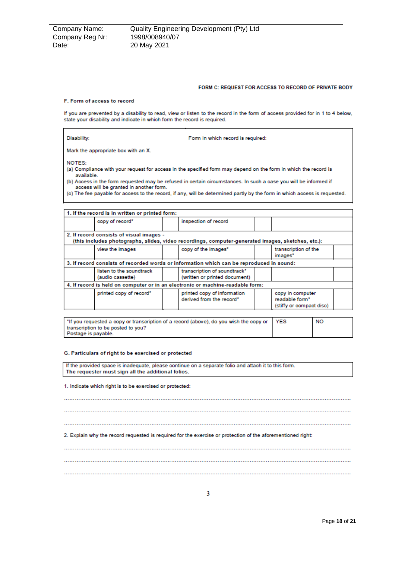| Company Name:   | Quality Engineering Development (Pty) Ltd |
|-----------------|-------------------------------------------|
| Company Reg Nr: | 1998/008940/07                            |
| Date:           | 20 May 2021                               |

#### FORM C: REQUEST FOR ACCESS TO RECORD OF PRIVATE BODY

#### F. Form of access to record

If you are prevented by a disability to read, view or listen to the record in the form of access provided for in 1 to 4 below, state your disability and indicate in which form the record is required.

| Disability: |  |  |
|-------------|--|--|
|             |  |  |
|             |  |  |

Form in which record is required:

Mark the appropriate box with an X.

NOTES:

(a) Compliance with your request for access in the specified form may depend on the form in which the record is available.

(b) Access in the form requested may be refused in certain circumstances. In such a case you will be informed if access will be granted in another form.

(c) The fee payable for access to the record, if any, will be determined partly by the form in which access is requested.

| 1. If the record is in written or printed form: |                                                                                                   |                                                                |  |
|-------------------------------------------------|---------------------------------------------------------------------------------------------------|----------------------------------------------------------------|--|
| copy of record*                                 | inspection of record                                                                              |                                                                |  |
| 2. If record consists of visual images -        | (this includes photographs, slides, video recordings, computer-generated images, sketches, etc.): |                                                                |  |
| view the images                                 | copy of the images"                                                                               | transcription of the<br>images <sup>*</sup>                    |  |
|                                                 | 3. If record consists of recorded words or information which can be reproduced in sound:          |                                                                |  |
| listen to the soundtrack<br>(audio cassette)    | transcription of soundtrack*<br>(written or printed document)                                     |                                                                |  |
|                                                 | 4. If record is held on computer or in an electronic or machine-readable form:                    |                                                                |  |
| printed copy of record"                         | printed copy of information<br>derived from the record*                                           | copy in computer<br>readable form*<br>(stiffy or compact disc) |  |

| 14 The you requested a copy or transcription of a record (above), do you wish the copy or YES | <b>NO</b> |
|-----------------------------------------------------------------------------------------------|-----------|
| transcription to be posted to you?                                                            |           |
| Postage is payable.                                                                           |           |

#### G. Particulars of right to be exercised or protected

If the provided space is inadequate, please continue on a separate folio and attach it to this form. The requester must sign all the additional folios.

1. Indicate which right is to be exercised or protected:

2. Explain why the record requested is required for the exercise or protection of the aforementioned right: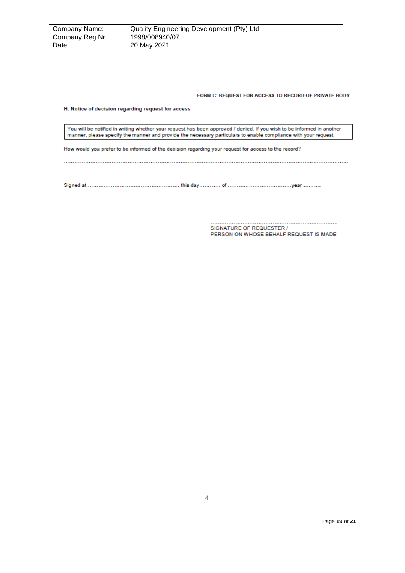| Company Name:   | Quality Engineering Development (Pty) Ltd |  |
|-----------------|-------------------------------------------|--|
| Company Reg Nr: | 1998/008940/07                            |  |
| Date:           | 20 May 2021                               |  |

#### FORM C: REQUEST FOR ACCESS TO RECORD OF PRIVATE BODY

H. Notice of decision regarding request for access

You will be notified in writing whether your request has been approved / denied. If you wish to be informed in another manner, please specify the manner and provide the necessary particulars to enable compliance with your request.

How would you prefer to be informed of the decision regarding your request for access to the record?

............................ SIGNATURE OF REQUESTER / PERSON ON WHOSE BEHALF REQUEST IS MADE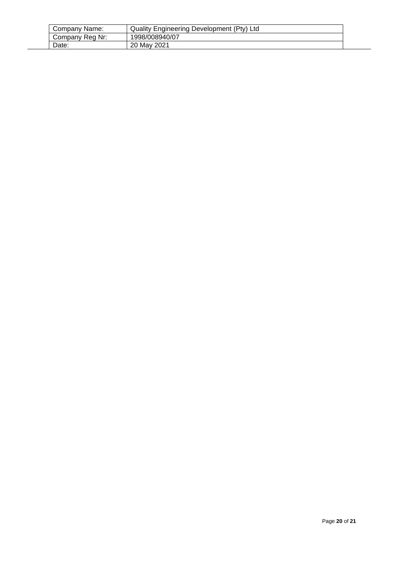| Company Name:   | Quality Engineering Development (Pty) Ltd |  |
|-----------------|-------------------------------------------|--|
| Company Reg Nr: | 1998/008940/07                            |  |
| Date:           | 20 May 2021                               |  |

 $\overline{a}$ L